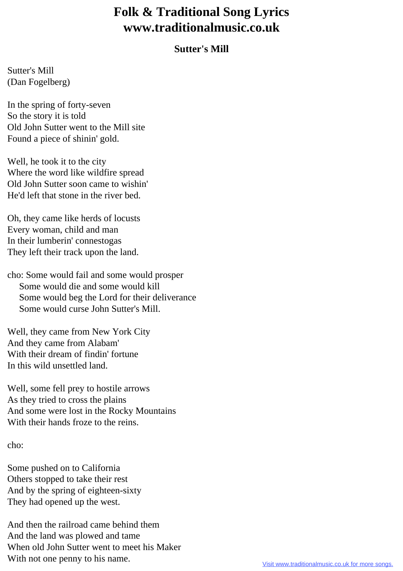## **Folk & Traditional Song Lyrics www.traditionalmusic.co.uk**

## **Sutter's Mill**

Sutter's Mill (Dan Fogelberg)

In the spring of forty-seven So the story it is told Old John Sutter went to the Mill site Found a piece of shinin' gold.

Well, he took it to the city Where the word like wildfire spread Old John Sutter soon came to wishin' He'd left that stone in the river bed.

Oh, they came like herds of locusts Every woman, child and man In their lumberin' connestogas They left their track upon the land.

cho: Some would fail and some would prosper Some would die and some would kill Some would beg the Lord for their deliverance Some would curse John Sutter's Mill.

Well, they came from New York City And they came from Alabam' With their dream of findin' fortune In this wild unsettled land.

Well, some fell prey to hostile arrows As they tried to cross the plains And some were lost in the Rocky Mountains With their hands froze to the reins.

cho:

Some pushed on to California Others stopped to take their rest And by the spring of eighteen-sixty They had opened up the west.

And then the railroad came behind them And the land was plowed and tame When old John Sutter went to meet his Maker With not one penny to his name.